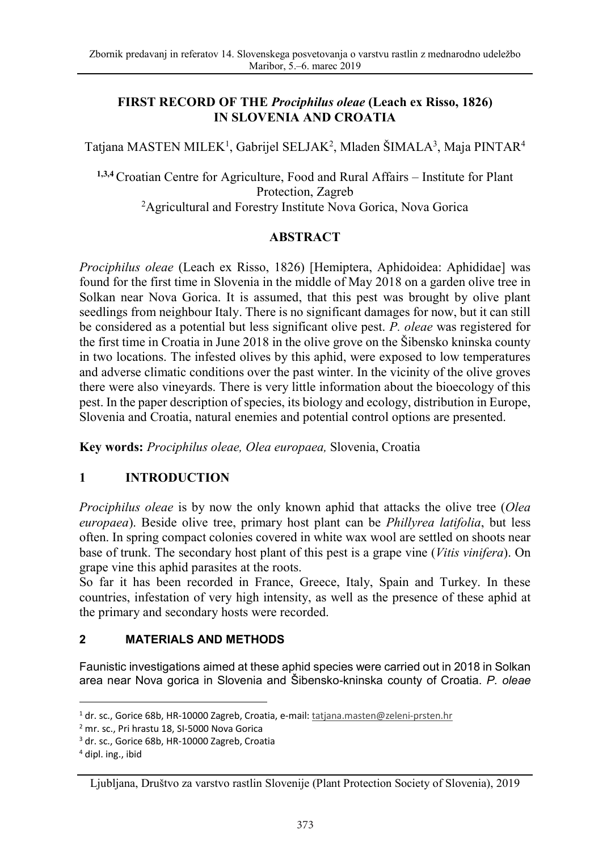## **FIRST RECORD OF THE** *Prociphilus oleae* **(Leach ex Risso, 1826) IN SLOVENIA AND CROATIA**

Tatjana MASTEN MILEK<sup>1</sup>, Gabrijel SELJAK<sup>2</sup>, Mladen ŠIMALA<sup>3</sup>, Maja PINTAR<sup>4</sup>

**1,3,4** Croatian Centre for Agriculture, Food and Rural Affairs – Institute for Plant Protection, Zagreb<br><sup>2</sup>Agricultural and Forestry Institute Nova Gorica, Nova Gorica<sup>2</sup>

### **ABSTRACT**

*Prociphilus oleae* (Leach ex Risso, 1826) [Hemiptera, Aphidoidea: Aphididae] was found for the first time in Slovenia in the middle of May 2018 on a garden olive tree in Solkan near Nova Gorica. It is assumed, that this pest was brought by olive plant seedlings from neighbour Italy. There is no significant damages for now, but it can still be considered as a potential but less significant olive pest. *P. oleae* was registered for the first time in Croatia in June 2018 in the olive grove on the Šibensko kninska county in two locations. The infested olives by this aphid, were exposed to low temperatures and adverse climatic conditions over the past winter. In the vicinity of the olive groves there were also vineyards. There is very little information about the bioecology of this pest. In the paper description of species, its biology and ecology, distribution in Europe, Slovenia and Croatia, natural enemies and potential control options are presented.

**Key words:** *Prociphilus oleae, Olea europaea,* Slovenia, Croatia

# **1 INTRODUCTION**

*Prociphilus oleae* is by now the only known aphid that attacks the olive tree (*Olea europaea*). Beside olive tree, primary host plant can be *Phillyrea latifolia*, but less often. In spring compact colonies covered in white wax wool are settled on shoots near base of trunk. The secondary host plant of this pest is a grape vine (*Vitis vinifera*). On grape vine this aphid parasites at the roots.

So far it has been recorded in France, Greece, Italy, Spain and Turkey. In these countries, infestation of very high intensity, as well as the presence of these aphid at the primary and secondary hosts were recorded.

### **2 MATERIALS AND METHODS**

Faunistic investigations aimed at these aphid species were carried out in 2018 in Solkan area near Nova gorica in Slovenia and Šibensko-kninska county of Croatia. *P. oleae*

l

<sup>&</sup>lt;sup>1</sup> dr. sc., Gorice 68b, HR-10000 Zagreb, Croatia, e-mail: tatjana.masten@zeleni-prsten.hr

<sup>2</sup> mr. sc., Pri hrastu 18, SI-5000 Nova Gorica

<sup>&</sup>lt;sup>3</sup> dr. sc., Gorice 68b, HR-10000 Zagreb, Croatia

<sup>4</sup> dipl. ing., ibid

Ljubljana, Društvo za varstvo rastlin Slovenije (Plant Protection Society of Slovenia), 2019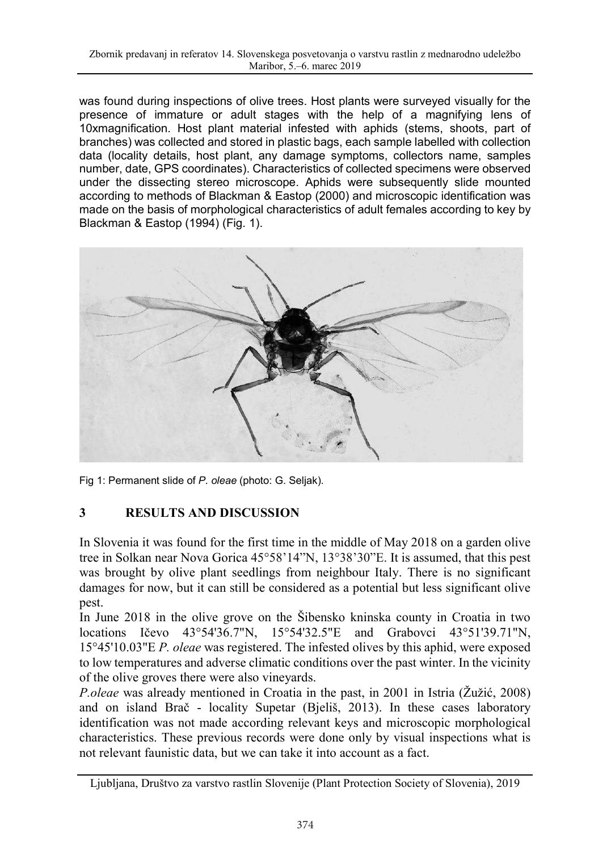was found during inspections of olive trees. Host plants were surveyed visually for the presence of immature or adult stages with the help of a magnifying lens of 10xmagnification. Host plant material infested with aphids (stems, shoots, part of branches) was collected and stored in plastic bags, each sample labelled with collection data (locality details, host plant, any damage symptoms, collectors name, samples number, date, GPS coordinates). Characteristics of collected specimens were observed under the dissecting stereo microscope. Aphids were subsequently slide mounted according to methods of Blackman & Eastop (2000) and microscopic identification was made on the basis of morphological characteristics of adult females according to key by Blackman & Eastop (1994) (Fig. 1).



Fig 1: Permanent slide of *P. oleae* (photo: G. Seljak).

# **3 RESULTS AND DISCUSSION**

In Slovenia it was found for the first time in the middle of May 2018 on a garden olive tree in Solkan near Nova Gorica 45°58'14"N, 13°38'30"E. It is assumed, that this pest was brought by olive plant seedlings from neighbour Italy. There is no significant damages for now, but it can still be considered as a potential but less significant olive pest.

In June 2018 in the olive grove on the Šibensko kninska county in Croatia in two locations Ičevo 43°54'36.7"N, 15°54'32.5"E and Grabovci 43°51'39.71"N, 15°45'10.03"E *P. oleae* was registered. The infested olives by this aphid, were exposed to low temperatures and adverse climatic conditions over the past winter. In the vicinity of the olive groves there were also vineyards.

*P.oleae* was already mentioned in Croatia in the past, in 2001 in Istria (Žužić, 2008) and on island Brač - locality Supetar (Bjeliš, 2013). In these cases laboratory identification was not made according relevant keys and microscopic morphological characteristics. These previous records were done only by visual inspections what is not relevant faunistic data, but we can take it into account as a fact.

Ljubljana, Društvo za varstvo rastlin Slovenije (Plant Protection Society of Slovenia), 2019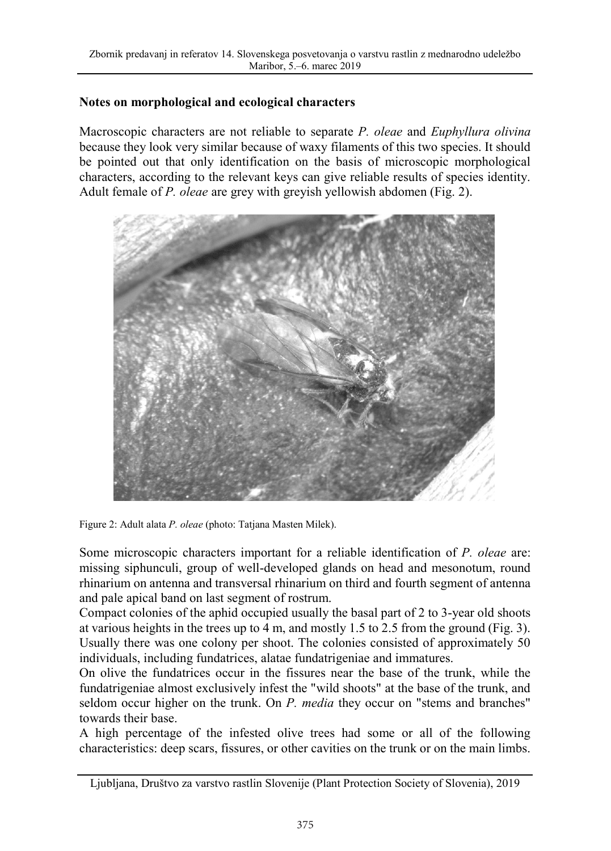#### **Notes on morphological and ecological characters**

Macroscopic characters are not reliable to separate *P. oleae* and *Euphyllura olivina* because they look very similar because of waxy filaments of this two species. It should be pointed out that only identification on the basis of microscopic morphological characters, according to the relevant keys can give reliable results of species identity. Adult female of *P. oleae* are grey with greyish yellowish abdomen (Fig. 2).



Figure 2: Adult alata *P. oleae* (photo: Tatjana Masten Milek).

Some microscopic characters important for a reliable identification of *P. oleae* are: missing siphunculi, group of well-developed glands on head and mesonotum, round rhinarium on antenna and transversal rhinarium on third and fourth segment of antenna and pale apical band on last segment of rostrum.

Compact colonies of the aphid occupied usually the basal part of 2 to 3-year old shoots at various heights in the trees up to 4 m, and mostly 1.5 to 2.5 from the ground (Fig. 3). Usually there was one colony per shoot. The colonies consisted of approximately 50 individuals, including fundatrices, alatae fundatrigeniae and immatures.

On olive the fundatrices occur in the fissures near the base of the trunk, while the fundatrigeniae almost exclusively infest the "wild shoots" at the base of the trunk, and seldom occur higher on the trunk. On *P. media* they occur on "stems and branches" towards their base.

A high percentage of the infested olive trees had some or all of the following characteristics: deep scars, fissures, or other cavities on the trunk or on the main limbs.

Ljubljana, Društvo za varstvo rastlin Slovenije (Plant Protection Society of Slovenia), 2019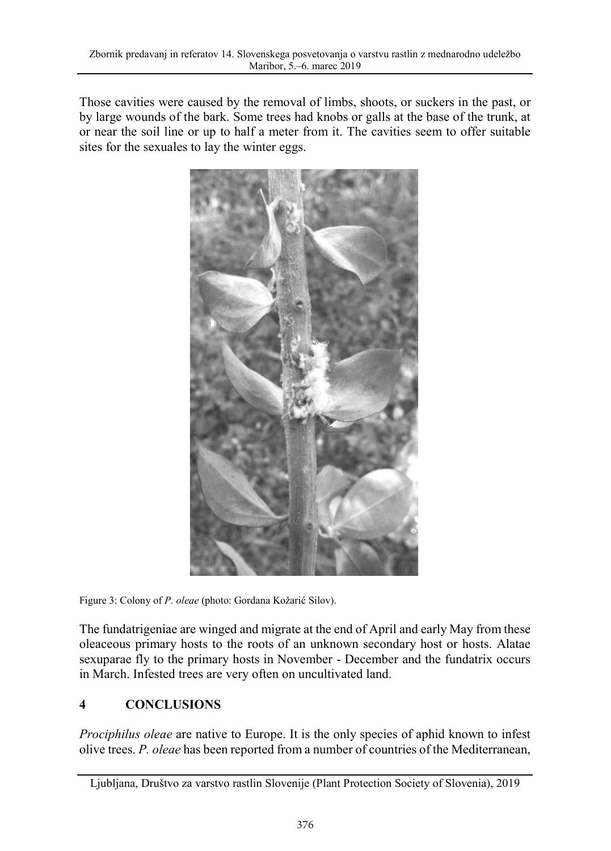Those cavities were caused by the removal of limbs, shoots, or suckers in the past, or by large wounds of the bark. Some trees had knobs or galls at the base of the trunk, at or near the soil line or up to half a meter from it. The cavities seem to offer suitable sites for the sexuales to lay the winter eggs.



Figure 3: Colony of *P. oleae* (photo: Gordana Kožarić Silov).

The fundatrigeniae are winged and migrate at the end of April and early May from these oleaceous primary hosts to the roots of an unknown secondary host or hosts. Alatae sexuparae fly to the primary hosts in November - December and the fundatrix occurs in March. Infested trees are very often on uncultivated land.

# **4 CONCLUSIONS**

*Prociphilus oleae* are native to Europe. It is the only species of aphid known to infest olive trees. *P. oleae* has been reported from a number of countries of the Mediterranean,

Ljubljana, Društvo za varstvo rastlin Slovenije (Plant Protection Society of Slovenia), 2019